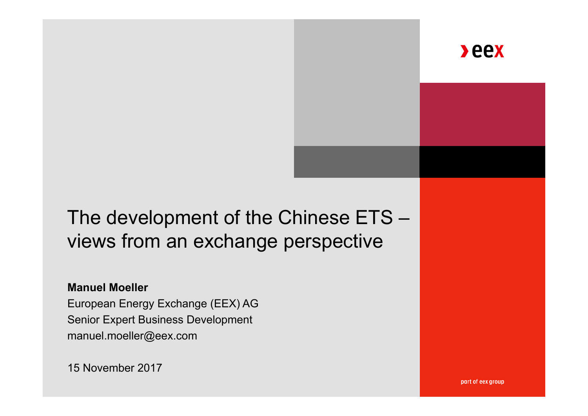**Seex** 

# The development of the Chinese  $ETS$ views from an exchange perspective

#### **Manuel Moeller**

European Energy Exchange (EEX) AG Senior Expert Business Development manuel.moeller@eex.com

15 November 2017

part of eex group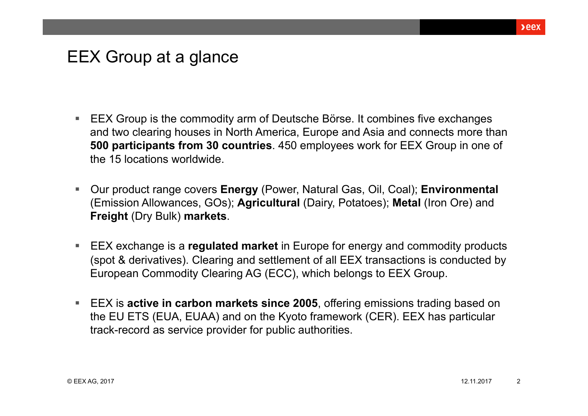### EEX Group at a glance

- EEX Group is the commodity arm of Deutsche Börse. It combines five exchanges and two clearing houses in North America, Europe and Asia and connects more than **500 participants from 30 countries**. 450 employees work for EEX Group in one of the 15 locations worldwide.
- Our product range covers **Energy** (Power, Natural Gas, Oil, Coal); **Environmental**  (Emission Allowances, GOs); **Agricultural** (Dairy, Potatoes); **Metal** (Iron Ore) and **Freight** (Dry Bulk) **markets**.
- EEX exchange is a **regulated market** in Europe for energy and commodity products (spot & derivatives). Clearing and settlement of all EEX transactions is conducted by European Commodity Clearing AG (ECC), which belongs to EEX Group.
- EEX is **active in carbon markets since 2005**, offering emissions trading based on the EU ETS (EUA, EUAA) and on the Kyoto framework (CER). EEX has particular track-record as service provider for public authorities.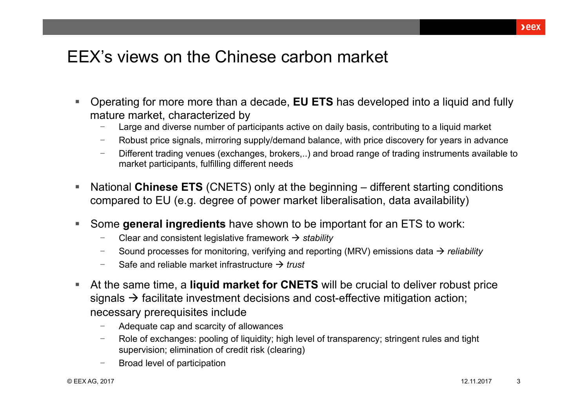## EEX's views on the Chinese carbon market

- Operating for more more than a decade, **EU ETS** has developed into a liquid and fully mature market, characterized by
	- Large and diverse number of participants active on daily basis, contributing to a liquid market
	- Robust price signals, mirroring supply/demand balance, with price discovery for years in advance
	- Different trading venues (exchanges, brokers,..) and broad range of trading instruments available to market participants, fulfilling different needs
- National Chinese ETS (CNETS) only at the beginning different starting conditions compared to EU (e.g. degree of power market liberalisation, data availability)
- Some **general ingredients** have shown to be important for an ETS to work:
	- Clear and consistent legislative framework  $\rightarrow$  stability
	- Sound processes for monitoring, verifying and reporting (MRV) emissions data  $\rightarrow$  reliability
	- Safe and reliable market infrastructure *trust*
- At the same time, a **liquid market for CNETS** will be crucial to deliver robust price signals  $\rightarrow$  facilitate investment decisions and cost-effective mitigation action; necessary prerequisites include
	- Adequate cap and scarcity of allowances
	- Role of exchanges: pooling of liquidity; high level of transparency; stringent rules and tight supervision; elimination of credit risk (clearing)
	- Broad level of participation